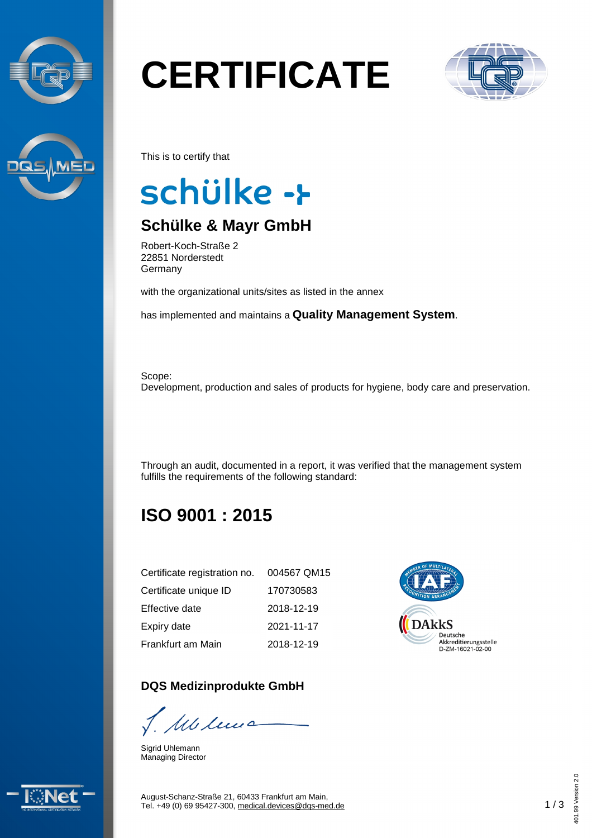



# **CERTIFICATE**



This is to certify that

## schülke ->

#### **Schülke & Mayr GmbH**

Robert-Koch-Straße 2 22851 Norderstedt Germany

with the organizational units/sites as listed in the annex

has implemented and maintains a **Quality Management System**.

Scope: Development, production and sales of products for hygiene, body care and preservation.

Through an audit, documented in a report, it was verified that the management system fulfills the requirements of the following standard:

### **ISO 9001 : 2015**

| Certificate registration no. | 004567 QM15 |
|------------------------------|-------------|
| Certificate unique ID        | 170730583   |
| Effective date               | 2018-12-19  |
| Expiry date                  | 2021-11-17  |
| Frankfurt am Main            | 2018-12-19  |

#### **DQS Medizinprodukte GmbH**

1. Milima

Sigrid Uhlemann Managing Director





August-Schanz-Straße 21, 60433 Frankfurt am Main, Tel. +49 (0) 69 95427-300, [medical.devices@dqs-med.de](mailto:medical.devices@dqs-med.de) 1 / 3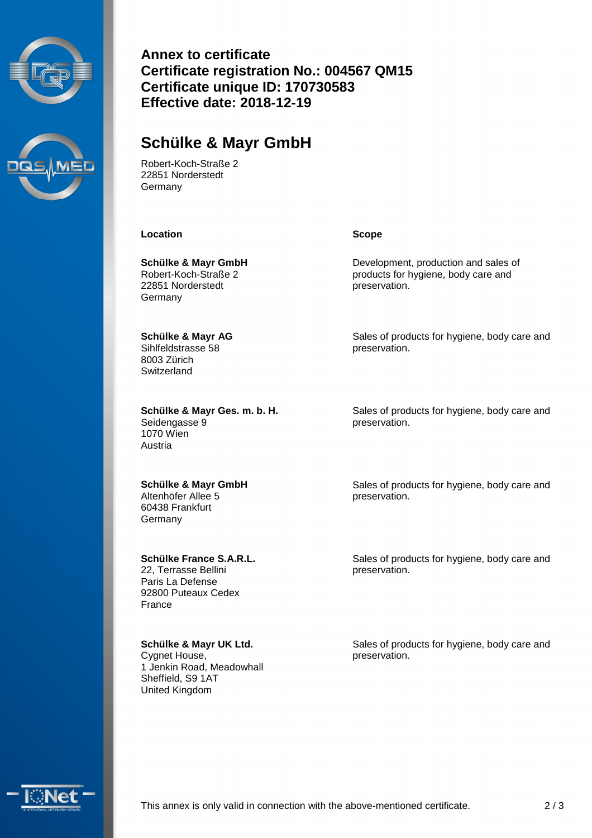



**Annex to certificate Certificate registration No.: 004567 QM15 Certificate unique ID: 170730583 Effective date: 2018-12-19**

#### **Schülke & Mayr GmbH**

Robert-Koch-Straße 2 22851 Norderstedt Germany

**Location Scope**

**Schülke & Mayr GmbH** Robert-Koch-Straße 2 22851 Norderstedt Germany

**Schülke & Mayr AG** Sihlfeldstrasse 58 8003 Zürich **Switzerland** 

**Schülke & Mayr Ges. m. b. H.** Seidengasse 9 1070 Wien Austria

**Schülke & Mayr GmbH** Altenhöfer Allee 5 60438 Frankfurt Germany

**Schülke France S.A.R.L.** 22, Terrasse Bellini Paris La Defense 92800 Puteaux Cedex France

**Schülke & Mayr UK Ltd.** Cygnet House, 1 Jenkin Road, Meadowhall Sheffield, S9 1AT United Kingdom

Development, production and sales of products for hygiene, body care and preservation.

Sales of products for hygiene, body care and preservation.

Sales of products for hygiene, body care and preservation.

Sales of products for hygiene, body care and preservation.

Sales of products for hygiene, body care and preservation.

Sales of products for hygiene, body care and preservation.